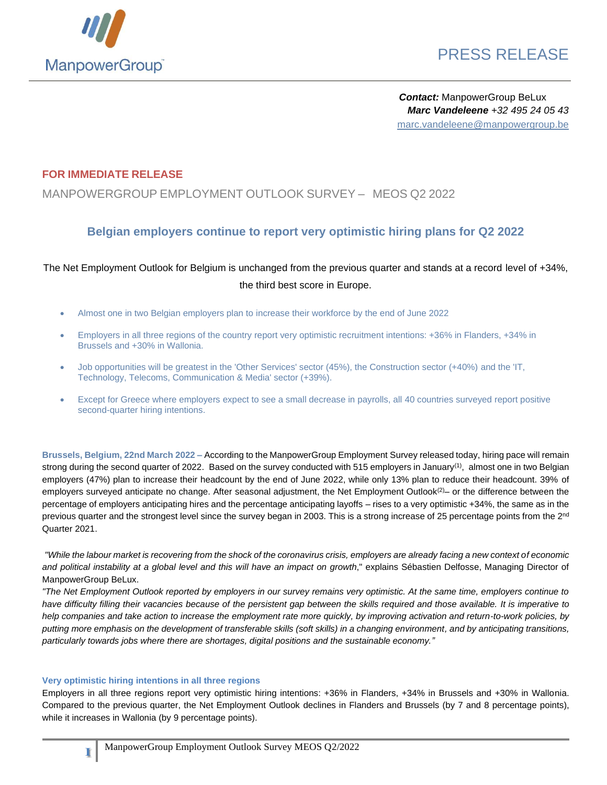

# PRESS RELEASE

*Contact:* ManpowerGroup BeLux *Marc Vandeleene +32 495 24 05 43* marc.vandeleene@manpowergroup.be

#### **FOR IMMEDIATE RELEASE**

### MANPOWERGROUP EMPLOYMENT OUTLOOK SURVEY – MEOS Q2 2022

### **Belgian employers continue to report very optimistic hiring plans for Q2 2022**

### The Net Employment Outlook for Belgium is unchanged from the previous quarter and stands at a record level of +34%, the third best score in Europe.

- Almost one in two Belgian employers plan to increase their workforce by the end of June 2022
- Employers in all three regions of the country report very optimistic recruitment intentions: +36% in Flanders, +34% in Brussels and +30% in Wallonia.
- Job opportunities will be greatest in the 'Other Services' sector (45%), the Construction sector (+40%) and the 'IT, Technology, Telecoms, Communication & Media' sector (+39%).
- Except for Greece where employers expect to see a small decrease in payrolls, all 40 countries surveyed report positive second-quarter hiring intentions.

**Brussels, Belgium, 22nd March 2022 –** According to the ManpowerGroup Employment Survey released today, hiring pace will remain strong during the second quarter of 2022. Based on the survey conducted with 515 employers in January<sup>(1)</sup>, almost one in two Belgian employers (47%) plan to increase their headcount by the end of June 2022, while only 13% plan to reduce their headcount. 39% of employers surveyed anticipate no change. After seasonal adjustment, the Net Employment Outlook<sup>(2)</sup>– or the difference between the percentage of employers anticipating hires and the percentage anticipating layoffs – rises to a very optimistic +34%, the same as in the previous quarter and the strongest level since the survey began in 2003. This is a strong increase of 25 percentage points from the 2<sup>nd</sup> Quarter 2021.

*"While the labour market is recovering from the shock of the coronavirus crisis, employers are already facing a new context of economic and political instability at a global level and this will have an impact on growth*," explains Sébastien Delfosse, Managing Director of ManpowerGroup BeLux.

*"The Net Employment Outlook reported by employers in our survey remains very optimistic. At the same time, employers continue to have difficulty filling their vacancies because of the persistent gap between the skills required and those available. It is imperative to help companies and take action to increase the employment rate more quickly, by improving activation and return-to-work policies, by putting more emphasis on the development of transferable skills (soft skills) in a changing environment, and by anticipating transitions, particularly towards jobs where there are shortages, digital positions and the sustainable economy."*

#### **Very optimistic hiring intentions in all three regions**

**1**

Employers in all three regions report very optimistic hiring intentions: +36% in Flanders, +34% in Brussels and +30% in Wallonia. Compared to the previous quarter, the Net Employment Outlook declines in Flanders and Brussels (by 7 and 8 percentage points), while it increases in Wallonia (by 9 percentage points).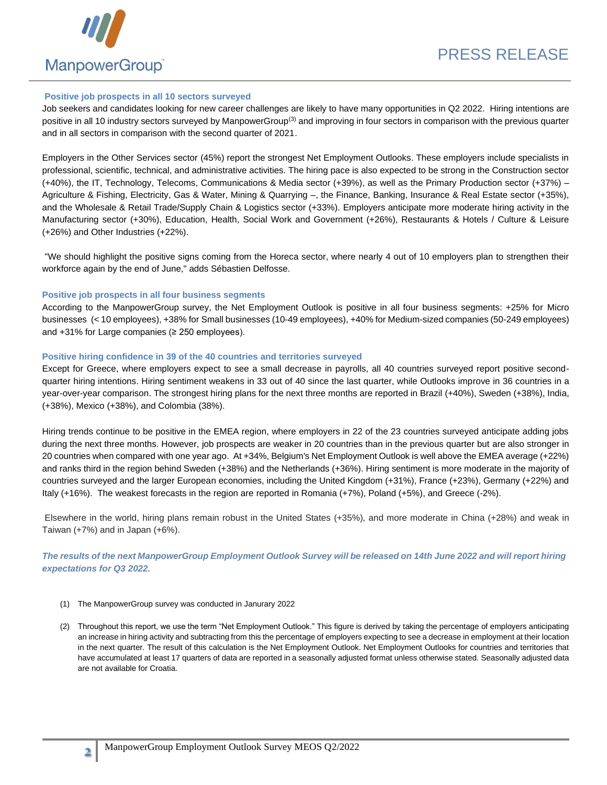

#### **Positive job prospects in all 10 sectors surveyed**

Job seekers and candidates looking for new career challenges are likely to have many opportunities in Q2 2022. Hiring intentions are positive in all 10 industry sectors surveyed by ManpowerGroup(3) and improving in four sectors in comparison with the previous quarter and in all sectors in comparison with the second quarter of 2021.

Employers in the Other Services sector (45%) report the strongest Net Employment Outlooks. These employers include specialists in professional, scientific, technical, and administrative activities. The hiring pace is also expected to be strong in the Construction sector (+40%), the IT, Technology, Telecoms, Communications & Media sector (+39%), as well as the Primary Production sector (+37%) – Agriculture & Fishing, Electricity, Gas & Water, Mining & Quarrying –, the Finance, Banking, Insurance & Real Estate sector (+35%), and the Wholesale & Retail Trade/Supply Chain & Logistics sector (+33%). Employers anticipate more moderate hiring activity in the Manufacturing sector (+30%), Education, Health, Social Work and Government (+26%), Restaurants & Hotels / Culture & Leisure (+26%) and Other Industries (+22%).

"We should highlight the positive signs coming from the Horeca sector, where nearly 4 out of 10 employers plan to strengthen their workforce again by the end of June," adds Sébastien Delfosse.

#### **Positive job prospects in all four business segments**

According to the ManpowerGroup survey, the Net Employment Outlook is positive in all four business segments: +25% for Micro businesses (< 10 employees), +38% for Small businesses (10-49 employees), +40% for Medium-sized companies (50-249 employees) and +31% for Large companies (≥ 250 employees).

#### **Positive hiring confidence in 39 of the 40 countries and territories surveyed**

Except for Greece, where employers expect to see a small decrease in payrolls, all 40 countries surveyed report positive secondquarter hiring intentions. Hiring sentiment weakens in 33 out of 40 since the last quarter, while Outlooks improve in 36 countries in a year-over-year comparison. The strongest hiring plans for the next three months are reported in Brazil (+40%), Sweden (+38%), India, (+38%), Mexico (+38%), and Colombia (38%).

Hiring trends continue to be positive in the EMEA region, where employers in 22 of the 23 countries surveyed anticipate adding jobs during the next three months. However, job prospects are weaker in 20 countries than in the previous quarter but are also stronger in 20 countries when compared with one year ago. At +34%, Belgium's Net Employment Outlook is well above the EMEA average (+22%) and ranks third in the region behind Sweden (+38%) and the Netherlands (+36%). Hiring sentiment is more moderate in the majority of countries surveyed and the larger European economies, including the United Kingdom (+31%), France (+23%), Germany (+22%) and Italy (+16%). The weakest forecasts in the region are reported in Romania (+7%), Poland (+5%), and Greece (-2%).

Elsewhere in the world, hiring plans remain robust in the United States (+35%), and more moderate in China (+28%) and weak in Taiwan (+7%) and in Japan (+6%).

*The results of the next ManpowerGroup Employment Outlook Survey will be released on 14th June 2022 and will report hiring expectations for Q3 2022.*

- (1) The ManpowerGroup survey was conducted in Janurary 2022
- (2) Throughout this report, we use the term "Net Employment Outlook." This figure is derived by taking the percentage of employers anticipating an increase in hiring activity and subtracting from this the percentage of employers expecting to see a decrease in employment at their location in the next quarter. The result of this calculation is the Net Employment Outlook. Net Employment Outlooks for countries and territories that have accumulated at least 17 quarters of data are reported in a seasonally adjusted format unless otherwise stated. Seasonally adjusted data are not available for Croatia.

**2**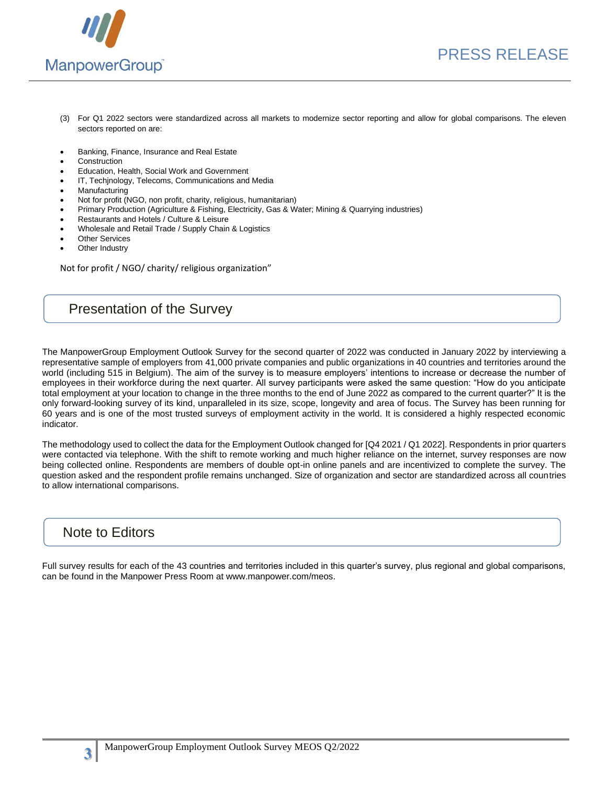

- (3) For Q1 2022 sectors were standardized across all markets to modernize sector reporting and allow for global comparisons. The eleven sectors reported on are:
- Banking, Finance, Insurance and Real Estate
- **Construction**
- Education, Health, Social Work and Government
- IT, Techjnology, Telecoms, Communications and Media
- **Manufacturing**
- Not for profit (NGO, non profit, charity, religious, humanitarian)
- Primary Production (Agriculture & Fishing, Electricity, Gas & Water; Mining & Quarrying industries)
- Restaurants and Hotels / Culture & Leisure
- Wholesale and Retail Trade / Supply Chain & Logistics
- **Other Services**
- Other Industry

Not for profit / NGO/ charity/ religious organization"

### Presentation of the Survey

The ManpowerGroup Employment Outlook Survey for the second quarter of 2022 was conducted in January 2022 by interviewing a representative sample of employers from 41,000 private companies and public organizations in 40 countries and territories around the world (including 515 in Belgium). The aim of the survey is to measure employers' intentions to increase or decrease the number of employees in their workforce during the next quarter. All survey participants were asked the same question: "How do you anticipate total employment at your location to change in the three months to the end of June 2022 as compared to the current quarter?" It is the only forward-looking survey of its kind, unparalleled in its size, scope, longevity and area of focus. The Survey has been running for 60 years and is one of the most trusted surveys of employment activity in the world. It is considered a highly respected economic indicator.

The methodology used to collect the data for the Employment Outlook changed for [Q4 2021 / Q1 2022]. Respondents in prior quarters were contacted via telephone. With the shift to remote working and much higher reliance on the internet, survey responses are now being collected online. Respondents are members of double opt-in online panels and are incentivized to complete the survey. The question asked and the respondent profile remains unchanged. Size of organization and sector are standardized across all countries to allow international comparisons.

### Note to Editors

**3**

Full survey results for each of the 43 countries and territories included in this quarter's survey, plus regional and global comparisons, can be found in the Manpower Press Room at www.manpower.com/meos.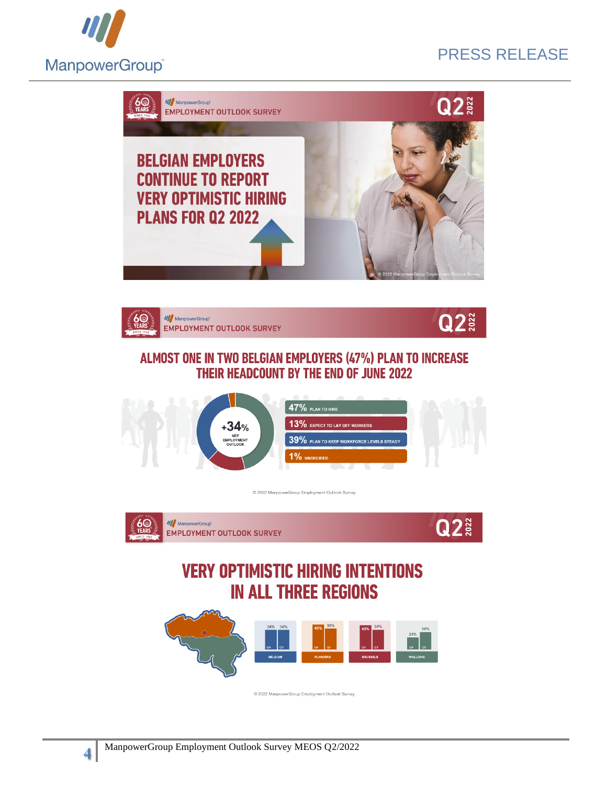

# PRESS RELEASE







## ALMOST ONE IN TWO BELGIAN EMPLOYERS (47%) PLAN TO INCREASE **THEIR HEADCOUNT BY THE END OF JUNE 2022**



@ 2022 ManpowerGroup Employment Outlook Surve





@ 2022 ManpowerGroup Employment Outlook Survey

**4**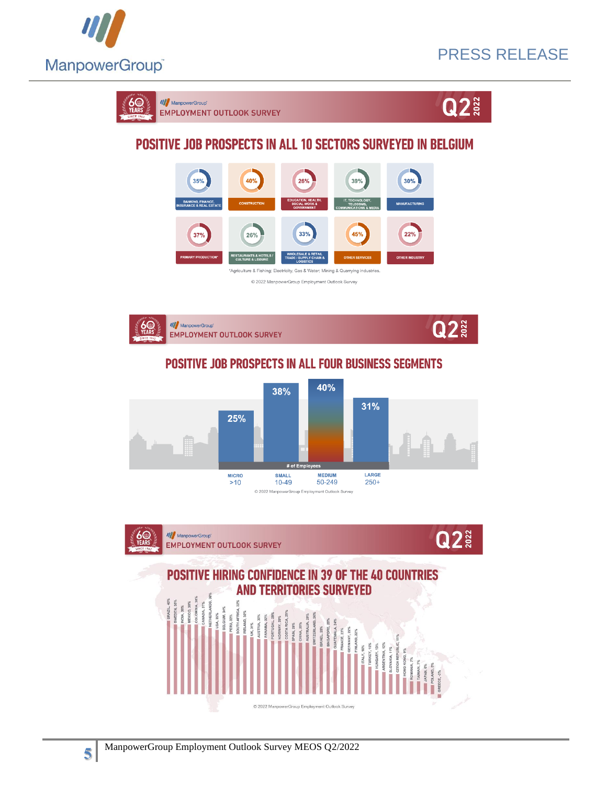

# PRESS RELEASE





# **POSITIVE JOB PROSPECTS IN ALL 10 SECTORS SURVEYED IN BELGIUM**

| 35%<br><b>BANKING, FINANCE,</b><br><b>INSURANCE &amp; REAL ESTATE</b>            | 40%<br><b>CONSTRUCTION</b>                                        | 26%<br><b>EDUCATION, HEALTH,</b><br><b>SOCIAL WORK &amp;</b><br><b>GOVERNMENT</b>      | 39%<br>IT, TECHNOLOGY,<br><b>TELECOMS,</b><br><b>COMMUNICATIONS &amp; MEDIA</b> | 30%<br><b>MANUFACTURING</b> |
|----------------------------------------------------------------------------------|-------------------------------------------------------------------|----------------------------------------------------------------------------------------|---------------------------------------------------------------------------------|-----------------------------|
| 37%                                                                              | 26%                                                               | 33%                                                                                    | 45%                                                                             | 22%                         |
| <b>PRIMARY PRODUCTION*</b>                                                       | <b>RESTAURANTS &amp; HOTELS /</b><br><b>CULTURE &amp; LEISURE</b> | <b>WHOLESALE &amp; RETAIL</b><br><b>TRADE / SUPPLY CHAIN &amp;</b><br><b>LOGISTICS</b> | <b>OTHER SERVICES</b>                                                           | <b>OTHER INDUSTRY</b>       |
| *Agriculture & Fishing; Electricity, Gas & Water; Mining & Quarrying industries. |                                                                   |                                                                                        |                                                                                 |                             |
| © 2022 ManpowerGroup Employment Outlook Survey                                   |                                                                   |                                                                                        |                                                                                 |                             |



## **POSITIVE JOB PROSPECTS IN ALL FOUR BUSINESS SEGMENTS**